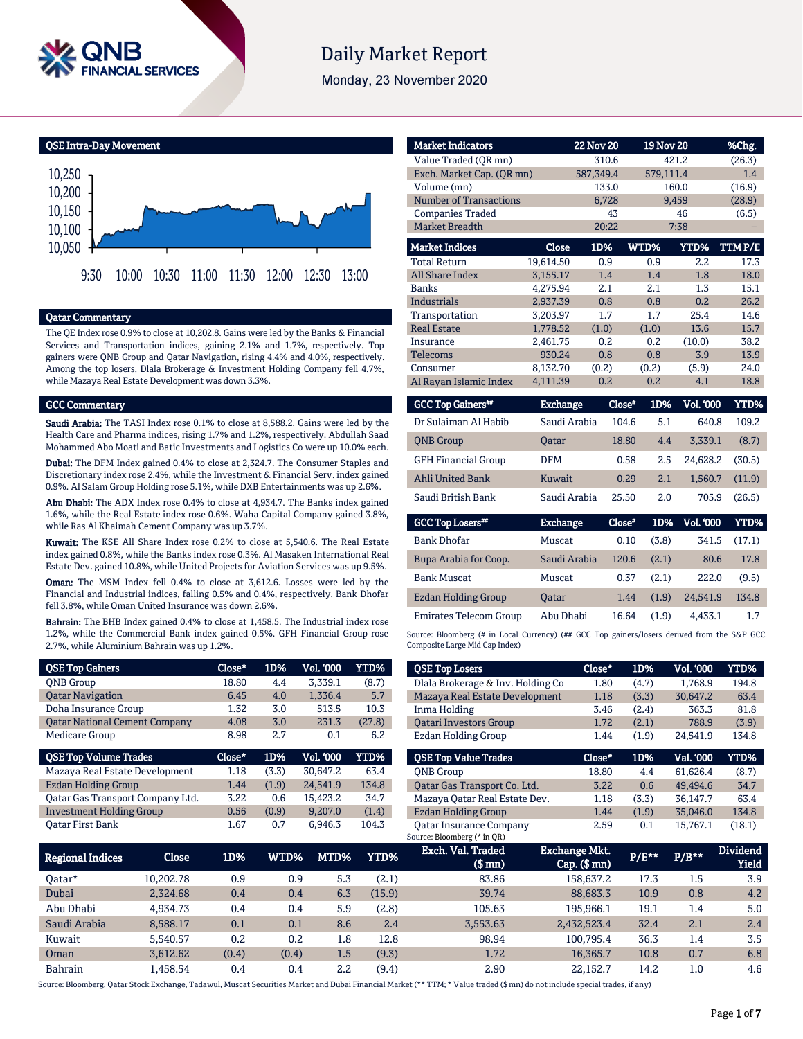

# **Daily Market Report**

Monday, 23 November 2020

QSE Intra-Day Movement



### Qatar Commentary

The QE Index rose 0.9% to close at 10,202.8. Gains were led by the Banks & Financial Services and Transportation indices, gaining 2.1% and 1.7%, respectively. Top gainers were QNB Group and Qatar Navigation, rising 4.4% and 4.0%, respectively. Among the top losers, Dlala Brokerage & Investment Holding Company fell 4.7%, while Mazaya Real Estate Development was down 3.3%.

#### GCC Commentary

Saudi Arabia: The TASI Index rose 0.1% to close at 8,588.2. Gains were led by the Health Care and Pharma indices, rising 1.7% and 1.2%, respectively. Abdullah Saad Mohammed Abo Moati and Batic Investments and Logistics Co were up 10.0% each.

Dubai: The DFM Index gained 0.4% to close at 2,324.7. The Consumer Staples and Discretionary index rose 2.4%, while the Investment & Financial Serv. index gained 0.9%. Al Salam Group Holding rose 5.1%, while DXB Entertainments was up 2.6%.

Abu Dhabi: The ADX Index rose 0.4% to close at 4,934.7. The Banks index gained 1.6%, while the Real Estate index rose 0.6%. Waha Capital Company gained 3.8%, while Ras Al Khaimah Cement Company was up 3.7%.

Kuwait: The KSE All Share Index rose 0.2% to close at 5,540.6. The Real Estate index gained 0.8%, while the Banks index rose 0.3%. Al Masaken International Real Estate Dev. gained 10.8%, while United Projects for Aviation Services was up 9.5%.

Oman: The MSM Index fell 0.4% to close at 3,612.6. Losses were led by the Financial and Industrial indices, falling 0.5% and 0.4%, respectively. Bank Dhofar fell 3.8%, while Oman United Insurance was down 2.6%.

Bahrain: The BHB Index gained 0.4% to close at 1,458.5. The Industrial index rose 1.2%, while the Commercial Bank index gained 0.5%. GFH Financial Group rose 2.7%, while Aluminium Bahrain was up 1.2%.

| <b>QSE Top Gainers</b>               | Close* | 1D%   | Vol. '000 | YTD%   |
|--------------------------------------|--------|-------|-----------|--------|
| <b>ONB</b> Group                     | 18.80  | 4.4   | 3.339.1   | (8.7)  |
| <b>Qatar Navigation</b>              | 6.45   | 4.0   | 1,336.4   | 5.7    |
| Doha Insurance Group                 | 1.32   | 3.0   | 513.5     | 10.3   |
| <b>Oatar National Cement Company</b> | 4.08   | 3.0   | 231.3     | (27.8) |
| <b>Medicare Group</b>                | 8.98   | 2.7   | 0.1       | 6.2    |
|                                      |        |       |           |        |
| <b>QSE Top Volume Trades</b>         | Close* | 1D%   | Vol. '000 | YTD%   |
| Mazaya Real Estate Development       | 1.18   | (3.3) | 30,647.2  | 63.4   |
| <b>Ezdan Holding Group</b>           | 1.44   | (1.9) | 24.541.9  | 134.8  |
| Qatar Gas Transport Company Ltd.     | 3.22   | 0.6   | 15,423.2  | 34.7   |
| <b>Investment Holding Group</b>      | 0.56   | (0.9) | 9.207.0   | (1.4)  |

| <b>Market Indicators</b>      |           | <b>22 Nov 20</b> |       | <b>19 Nov 20</b> | %Chg.  |
|-------------------------------|-----------|------------------|-------|------------------|--------|
| Value Traded (QR mn)          |           | 310.6            |       | 421.2            | (26.3) |
| Exch. Market Cap. (QR mn)     |           | 587,349.4        |       | 579,111.4        | 1.4    |
| Volume (mn)                   |           | 133.0            |       | 160.0            | (16.9) |
| <b>Number of Transactions</b> |           | 6,728            |       | 9,459            | (28.9) |
| <b>Companies Traded</b>       |           | 43               |       | 46               | (6.5)  |
| <b>Market Breadth</b>         |           | 20:22            |       | 7:38             |        |
| <b>Market Indices</b>         | Close     | 1D%              | WTD%  | <b>YTD%</b>      | TTMP/E |
| <b>Total Return</b>           | 19,614.50 | 0.9              | 0.9   | 2.2              | 17.3   |
| <b>All Share Index</b>        | 3,155.17  | 1.4              | 1.4   | 1.8              | 18.0   |
| <b>Banks</b>                  | 4.275.94  | 2.1              | 2.1   | 1.3              | 15.1   |
| <b>Industrials</b>            | 2.937.39  | 0.8              | 0.8   | 0.2              | 26.2   |
| Transportation                | 3.203.97  | 1.7              | 1.7   | 25.4             | 14.6   |
| <b>Real Estate</b>            | 1,778.52  | (1.0)            | (1.0) | 13.6             | 15.7   |
| Insurance                     | 2,461.75  | 0.2              | 0.2   | (10.0)           | 38.2   |
| <b>Telecoms</b>               | 930.24    | 0.8              | 0.8   | 3.9              | 13.9   |
| Consumer                      | 8,132.70  | (0.2)            | (0.2) | (5.9)            | 24.0   |
| Al Rayan Islamic Index        | 4,111.39  | 0.2              | 0.2   | 4.1              | 18.8   |

| <b>GCC Top Gainers**</b>   | <b>Exchange</b> | Close* | 1D% | <b>Vol. '000</b> | YTD%   |
|----------------------------|-----------------|--------|-----|------------------|--------|
| Dr Sulaiman Al Habib       | Saudi Arabia    | 104.6  | 5.1 | 640.8            | 109.2  |
| <b>ONB</b> Group           | <b>Oatar</b>    | 18.80  | 4.4 | 3.339.1          | (8.7)  |
| <b>GFH Financial Group</b> | <b>DFM</b>      | 0.58   | 2.5 | 24.628.2         | (30.5) |
| <b>Ahli United Bank</b>    | Kuwait          | 0.29   | 2.1 | 1.560.7          | (11.9) |
| Saudi British Bank         | Saudi Arabia    | 25.50  | 2.0 | 705.9            | (26.5) |

| <b>GCC Top Losers**</b>       | <b>Exchange</b> | Close* | 1D%   | <b>Vol. '000</b> | YTD%   |
|-------------------------------|-----------------|--------|-------|------------------|--------|
|                               |                 |        |       |                  |        |
| <b>Bank Dhofar</b>            | Muscat          | 0.10   | (3.8) | 341.5            | (17.1) |
| Bupa Arabia for Coop.         | Saudi Arabia    | 120.6  | (2.1) | 80.6             | 17.8   |
| <b>Bank Muscat</b>            | Muscat          | 0.37   | (2.1) | 222.0            | (9.5)  |
| Ezdan Holding Group           | <b>Oatar</b>    | 1.44   | (1.9) | 24.541.9         | 134.8  |
| <b>Emirates Telecom Group</b> | Abu Dhabi       | 16.64  | (1.9) | 4,433.1          | 1.7    |

Source: Bloomberg (# in Local Currency) (## GCC Top gainers/losers derived from the S&P GCC Composite Large Mid Cap Index)

| <b>QSE Top Losers</b>             | Close* | 1D%   | <b>Vol. '000</b> | YTD%  |
|-----------------------------------|--------|-------|------------------|-------|
| Dlala Brokerage & Inv. Holding Co | 1.80   | (4.7) | 1.768.9          | 194.8 |
| Mazaya Real Estate Development    | 1.18   | (3.3) | 30.647.2         | 63.4  |
| Inma Holding                      | 3.46   | (2.4) | 363.3            | 81.8  |
| <b>Oatari Investors Group</b>     | 1.72   | (2.1) | 788.9            | (3.9) |
| Ezdan Holding Group               | 1.44   | (1.9) | 24.541.9         | 134.8 |
|                                   |        |       |                  |       |
| <b>OSE Top Value Trades</b>       | Close* | 1D%   | Val. '000        | YTD%  |
| <b>ONB</b> Group                  | 18.80  | 4.4   | 61.626.4         | (8.7) |
| Qatar Gas Transport Co. Ltd.      | 3.22   | 0.6   | 49.494.6         | 34.7  |
| Mazaya Qatar Real Estate Dev.     | 1.18   | (3.3) | 36.147.7         | 63.4  |
| Ezdan Holding Group               | 1.44   | (1.9) | 35.046.0         | 134.8 |

| <b>Regional Indices</b> | Close     | 1D%   | WTD%  | MTD% | YTD%   | Exch. Val. Traded<br>(\$ mn) | <b>Exchange Mkt.</b><br>$Cap.$ (\$ mn) | $P/E**$ | $P/B***$ | <b>Dividend</b><br><b>Yield</b> |
|-------------------------|-----------|-------|-------|------|--------|------------------------------|----------------------------------------|---------|----------|---------------------------------|
| 0atar*                  | 10.202.78 | 0.9   | 0.9   | 5.3  | (2.1)  | 83.86                        | 158.637.2                              | 17.3    | 1.5      | 3.9                             |
| Dubai                   | 2,324.68  | 0.4   | 0.4   | 6.3  | (15.9) | 39.74                        | 88.683.3                               | 10.9    | 0.8      | 4.2                             |
| Abu Dhabi               | 4.934.73  | 0.4   | 0.4   | 5.9  | (2.8)  | 105.63                       | 195.966.1                              | 19.1    | 1.4      | 5.0                             |
| Saudi Arabia            | 8,588.17  | 0.1   | 0.1   | 8.6  | 2.4    | 3,553.63                     | 2,432,523.4                            | 32.4    | 2.1      | 2.4                             |
| Kuwait                  | 5.540.57  | 0.2   | 0.2   | 1.8  | 12.8   | 98.94                        | 100.795.4                              | 36.3    | 1.4      | 3.5                             |
| Oman                    | 3.612.62  | (0.4) | (0.4) | 1.5  | (9.3)  | 1.72                         | 16.365.7                               | 10.8    | 0.7      | 6.8                             |
| <b>Bahrain</b>          | .458.54   | 0.4   | 0.4   | 2.2  | (9.4)  | 2.90                         | 22,152.7                               | 14.2    | 1.0      | 4.6                             |

Source: Bloomberg, Qatar Stock Exchange, Tadawul, Muscat Securities Market and Dubai Financial Market (\*\* TTM; \* Value traded (\$ mn) do not include special trades, if any)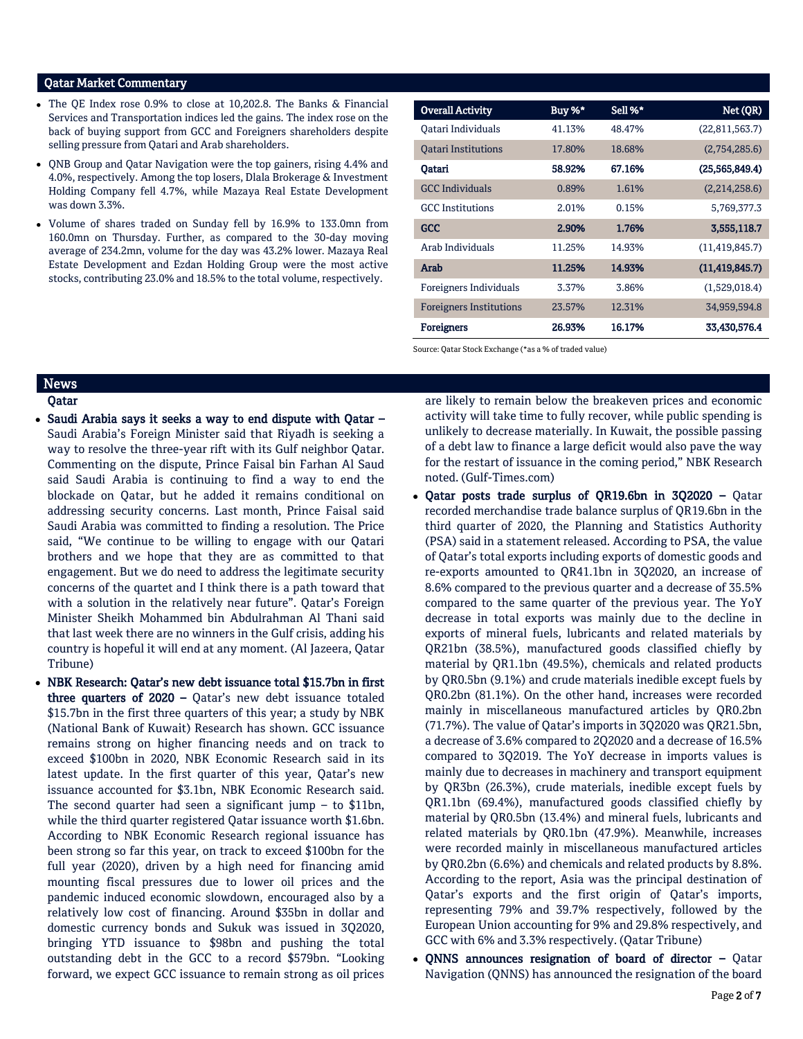### Qatar Market Commentary

- The QE Index rose 0.9% to close at 10,202.8. The Banks & Financial Services and Transportation indices led the gains. The index rose on the back of buying support from GCC and Foreigners shareholders despite selling pressure from Qatari and Arab shareholders.
- QNB Group and Qatar Navigation were the top gainers, rising 4.4% and 4.0%, respectively. Among the top losers, Dlala Brokerage & Investment Holding Company fell 4.7%, while Mazaya Real Estate Development was down 3.3%.
- Volume of shares traded on Sunday fell by 16.9% to 133.0mn from 160.0mn on Thursday. Further, as compared to the 30-day moving average of 234.2mn, volume for the day was 43.2% lower. Mazaya Real Estate Development and Ezdan Holding Group were the most active stocks, contributing 23.0% and 18.5% to the total volume, respectively.

| <b>Overall Activity</b>        | Buy %* | Sell %* | Net (QR)         |
|--------------------------------|--------|---------|------------------|
| Oatari Individuals             | 41.13% | 48.47%  | (22,811,563.7)   |
| Oatari Institutions            | 17.80% | 18.68%  | (2,754,285.6)    |
| Qatari                         | 58.92% | 67.16%  | (25, 565, 849.4) |
| <b>GCC</b> Individuals         | 0.89%  | 1.61%   | (2,214,258.6)    |
| <b>GCC</b> Institutions        | 2.01%  | 0.15%   | 5,769,377.3      |
| <b>GCC</b>                     | 2.90%  | 1.76%   | 3,555,118.7      |
| Arab Individuals               | 11.25% | 14.93%  | (11, 419, 845.7) |
| Arab                           | 11.25% | 14.93%  | (11, 419, 845.7) |
| Foreigners Individuals         | 3.37%  | 3.86%   | (1,529,018.4)    |
| <b>Foreigners Institutions</b> | 23.57% | 12.31%  | 34,959,594.8     |
| <b>Foreigners</b>              | 26.93% | 16.17%  | 33,430,576.4     |

Source: Qatar Stock Exchange (\*as a % of traded value)

## **News**

#### Qatar

- Saudi Arabia says it seeks a way to end dispute with Qatar Saudi Arabia's Foreign Minister said that Riyadh is seeking a way to resolve the three-year rift with its Gulf neighbor Qatar. Commenting on the dispute, Prince Faisal bin Farhan Al Saud said Saudi Arabia is continuing to find a way to end the blockade on Qatar, but he added it remains conditional on addressing security concerns. Last month, Prince Faisal said Saudi Arabia was committed to finding a resolution. The Price said, "We continue to be willing to engage with our Qatari brothers and we hope that they are as committed to that engagement. But we do need to address the legitimate security concerns of the quartet and I think there is a path toward that with a solution in the relatively near future". Qatar's Foreign Minister Sheikh Mohammed bin Abdulrahman Al Thani said that last week there are no winners in the Gulf crisis, adding his country is hopeful it will end at any moment. (Al Jazeera, Qatar Tribune)
- NBK Research: Qatar's new debt issuance total \$15.7bn in first three quarters of 2020 – Qatar's new debt issuance totaled \$15.7bn in the first three quarters of this year; a study by NBK (National Bank of Kuwait) Research has shown. GCC issuance remains strong on higher financing needs and on track to exceed \$100bn in 2020, NBK Economic Research said in its latest update. In the first quarter of this year, Qatar's new issuance accounted for \$3.1bn, NBK Economic Research said. The second quarter had seen a significant jump  $-$  to \$11bn, while the third quarter registered Qatar issuance worth \$1.6bn. According to NBK Economic Research regional issuance has been strong so far this year, on track to exceed \$100bn for the full year (2020), driven by a high need for financing amid mounting fiscal pressures due to lower oil prices and the pandemic induced economic slowdown, encouraged also by a relatively low cost of financing. Around \$35bn in dollar and domestic currency bonds and Sukuk was issued in 3Q2020, bringing YTD issuance to \$98bn and pushing the total outstanding debt in the GCC to a record \$579bn. "Looking forward, we expect GCC issuance to remain strong as oil prices

are likely to remain below the breakeven prices and economic activity will take time to fully recover, while public spending is unlikely to decrease materially. In Kuwait, the possible passing of a debt law to finance a large deficit would also pave the way for the restart of issuance in the coming period," NBK Research noted. (Gulf-Times.com)

- Qatar posts trade surplus of QR19.6bn in 3Q2020 Qatar recorded merchandise trade balance surplus of QR19.6bn in the third quarter of 2020, the Planning and Statistics Authority (PSA) said in a statement released. According to PSA, the value of Qatar's total exports including exports of domestic goods and re-exports amounted to QR41.1bn in 3Q2020, an increase of 8.6% compared to the previous quarter and a decrease of 35.5% compared to the same quarter of the previous year. The YoY decrease in total exports was mainly due to the decline in exports of mineral fuels, lubricants and related materials by QR21bn (38.5%), manufactured goods classified chiefly by material by QR1.1bn (49.5%), chemicals and related products by QR0.5bn (9.1%) and crude materials inedible except fuels by QR0.2bn (81.1%). On the other hand, increases were recorded mainly in miscellaneous manufactured articles by QR0.2bn (71.7%). The value of Qatar's imports in 3Q2020 was QR21.5bn, a decrease of 3.6% compared to 2Q2020 and a decrease of 16.5% compared to 3Q2019. The YoY decrease in imports values is mainly due to decreases in machinery and transport equipment by QR3bn (26.3%), crude materials, inedible except fuels by QR1.1bn (69.4%), manufactured goods classified chiefly by material by QR0.5bn (13.4%) and mineral fuels, lubricants and related materials by QR0.1bn (47.9%). Meanwhile, increases were recorded mainly in miscellaneous manufactured articles by QR0.2bn (6.6%) and chemicals and related products by 8.8%. According to the report, Asia was the principal destination of Qatar's exports and the first origin of Qatar's imports, representing 79% and 39.7% respectively, followed by the European Union accounting for 9% and 29.8% respectively, and GCC with 6% and 3.3% respectively. (Qatar Tribune)
- QNNS announces resignation of board of director Qatar Navigation (QNNS) has announced the resignation of the board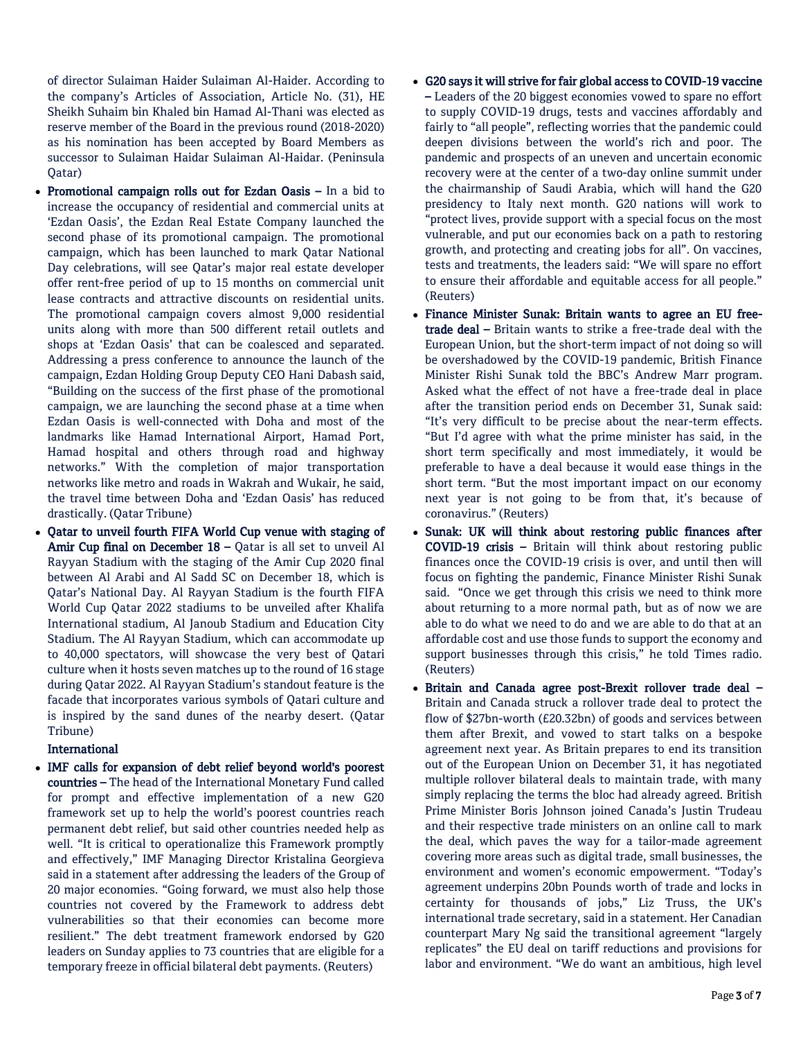of director Sulaiman Haider Sulaiman Al-Haider. According to the company's Articles of Association, Article No. (31), HE Sheikh Suhaim bin Khaled bin Hamad Al-Thani was elected as reserve member of the Board in the previous round (2018-2020) as his nomination has been accepted by Board Members as successor to Sulaiman Haidar Sulaiman Al-Haidar. (Peninsula Qatar)

- Promotional campaign rolls out for Ezdan Oasis In a bid to increase the occupancy of residential and commercial units at 'Ezdan Oasis', the Ezdan Real Estate Company launched the second phase of its promotional campaign. The promotional campaign, which has been launched to mark Qatar National Day celebrations, will see Qatar's major real estate developer offer rent-free period of up to 15 months on commercial unit lease contracts and attractive discounts on residential units. The promotional campaign covers almost 9,000 residential units along with more than 500 different retail outlets and shops at 'Ezdan Oasis' that can be coalesced and separated. Addressing a press conference to announce the launch of the campaign, Ezdan Holding Group Deputy CEO Hani Dabash said, "Building on the success of the first phase of the promotional campaign, we are launching the second phase at a time when Ezdan Oasis is well-connected with Doha and most of the landmarks like Hamad International Airport, Hamad Port, Hamad hospital and others through road and highway networks." With the completion of major transportation networks like metro and roads in Wakrah and Wukair, he said, the travel time between Doha and 'Ezdan Oasis' has reduced drastically. (Qatar Tribune)
- Qatar to unveil fourth FIFA World Cup venue with staging of Amir Cup final on December 18 – Qatar is all set to unveil Al Rayyan Stadium with the staging of the Amir Cup 2020 final between Al Arabi and Al Sadd SC on December 18, which is Qatar's National Day. Al Rayyan Stadium is the fourth FIFA World Cup Qatar 2022 stadiums to be unveiled after Khalifa International stadium, Al Janoub Stadium and Education City Stadium. The Al Rayyan Stadium, which can accommodate up to 40,000 spectators, will showcase the very best of Qatari culture when it hosts seven matches up to the round of 16 stage during Qatar 2022. Al Rayyan Stadium's standout feature is the facade that incorporates various symbols of Qatari culture and is inspired by the sand dunes of the nearby desert. (Qatar Tribune)

## International

 IMF calls for expansion of debt relief beyond world's poorest countries – The head of the International Monetary Fund called for prompt and effective implementation of a new G20 framework set up to help the world's poorest countries reach permanent debt relief, but said other countries needed help as well. "It is critical to operationalize this Framework promptly and effectively," IMF Managing Director Kristalina Georgieva said in a statement after addressing the leaders of the Group of 20 major economies. "Going forward, we must also help those countries not covered by the Framework to address debt vulnerabilities so that their economies can become more resilient." The debt treatment framework endorsed by G20 leaders on Sunday applies to 73 countries that are eligible for a temporary freeze in official bilateral debt payments. (Reuters)

- G20 says it will strive for fair global access to COVID-19 vaccine – Leaders of the 20 biggest economies vowed to spare no effort to supply COVID-19 drugs, tests and vaccines affordably and fairly to "all people", reflecting worries that the pandemic could deepen divisions between the world's rich and poor. The pandemic and prospects of an uneven and uncertain economic recovery were at the center of a two-day online summit under the chairmanship of Saudi Arabia, which will hand the G20 presidency to Italy next month. G20 nations will work to "protect lives, provide support with a special focus on the most vulnerable, and put our economies back on a path to restoring growth, and protecting and creating jobs for all". On vaccines, tests and treatments, the leaders said: "We will spare no effort to ensure their affordable and equitable access for all people." (Reuters)
- Finance Minister Sunak: Britain wants to agree an EU freetrade deal – Britain wants to strike a free-trade deal with the European Union, but the short-term impact of not doing so will be overshadowed by the COVID-19 pandemic, British Finance Minister Rishi Sunak told the BBC's Andrew Marr program. Asked what the effect of not have a free-trade deal in place after the transition period ends on December 31, Sunak said: "It's very difficult to be precise about the near-term effects. "But I'd agree with what the prime minister has said, in the short term specifically and most immediately, it would be preferable to have a deal because it would ease things in the short term. "But the most important impact on our economy next year is not going to be from that, it's because of coronavirus." (Reuters)
- Sunak: UK will think about restoring public finances after COVID-19 crisis – Britain will think about restoring public finances once the COVID-19 crisis is over, and until then will focus on fighting the pandemic, Finance Minister Rishi Sunak said. "Once we get through this crisis we need to think more about returning to a more normal path, but as of now we are able to do what we need to do and we are able to do that at an affordable cost and use those funds to support the economy and support businesses through this crisis," he told Times radio. (Reuters)
- Britain and Canada agree post-Brexit rollover trade deal Britain and Canada struck a rollover trade deal to protect the flow of \$27bn-worth (£20.32bn) of goods and services between them after Brexit, and vowed to start talks on a bespoke agreement next year. As Britain prepares to end its transition out of the European Union on December 31, it has negotiated multiple rollover bilateral deals to maintain trade, with many simply replacing the terms the bloc had already agreed. British Prime Minister Boris Johnson joined Canada's Justin Trudeau and their respective trade ministers on an online call to mark the deal, which paves the way for a tailor-made agreement covering more areas such as digital trade, small businesses, the environment and women's economic empowerment. "Today's agreement underpins 20bn Pounds worth of trade and locks in certainty for thousands of jobs," Liz Truss, the UK's international trade secretary, said in a statement. Her Canadian counterpart Mary Ng said the transitional agreement "largely replicates" the EU deal on tariff reductions and provisions for labor and environment. "We do want an ambitious, high level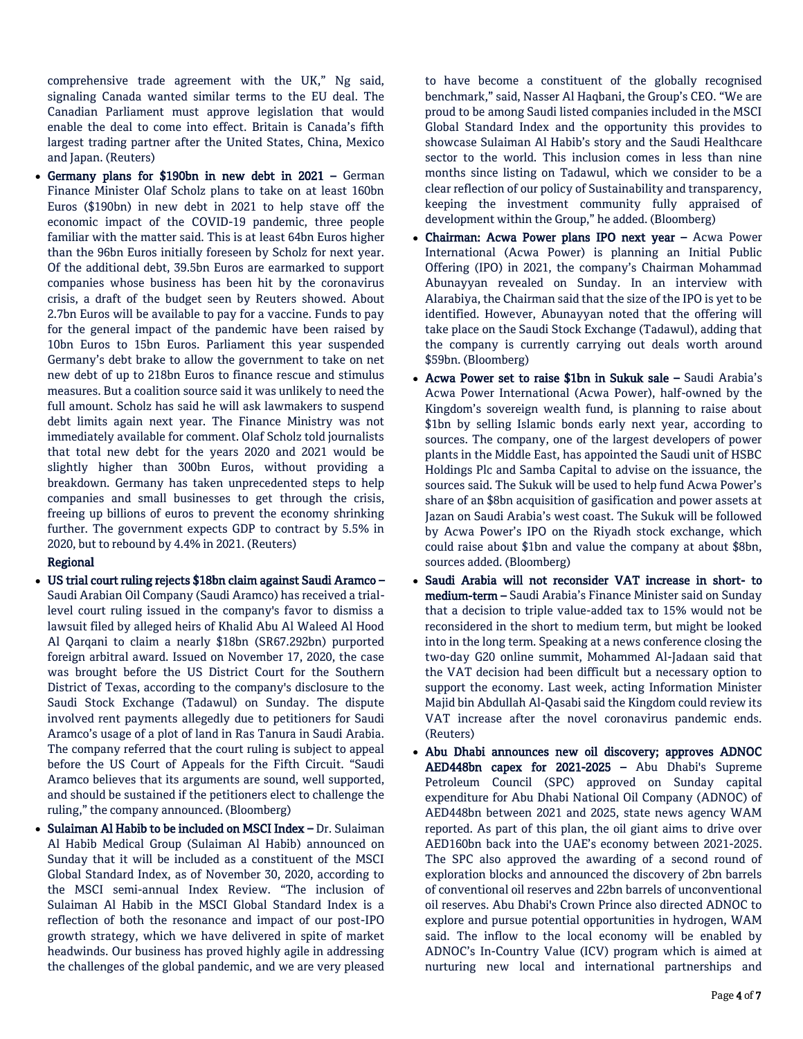comprehensive trade agreement with the UK," Ng said, signaling Canada wanted similar terms to the EU deal. The Canadian Parliament must approve legislation that would enable the deal to come into effect. Britain is Canada's fifth largest trading partner after the United States, China, Mexico and Japan. (Reuters)

 Germany plans for \$190bn in new debt in 2021 – German Finance Minister Olaf Scholz plans to take on at least 160bn Euros (\$190bn) in new debt in 2021 to help stave off the economic impact of the COVID-19 pandemic, three people familiar with the matter said. This is at least 64bn Euros higher than the 96bn Euros initially foreseen by Scholz for next year. Of the additional debt, 39.5bn Euros are earmarked to support companies whose business has been hit by the coronavirus crisis, a draft of the budget seen by Reuters showed. About 2.7bn Euros will be available to pay for a vaccine. Funds to pay for the general impact of the pandemic have been raised by 10bn Euros to 15bn Euros. Parliament this year suspended Germany's debt brake to allow the government to take on net new debt of up to 218bn Euros to finance rescue and stimulus measures. But a coalition source said it was unlikely to need the full amount. Scholz has said he will ask lawmakers to suspend debt limits again next year. The Finance Ministry was not immediately available for comment. Olaf Scholz told journalists that total new debt for the years 2020 and 2021 would be slightly higher than 300bn Euros, without providing a breakdown. Germany has taken unprecedented steps to help companies and small businesses to get through the crisis, freeing up billions of euros to prevent the economy shrinking further. The government expects GDP to contract by 5.5% in 2020, but to rebound by 4.4% in 2021. (Reuters)

## Regional

- US trial court ruling rejects \$18bn claim against Saudi Aramco Saudi Arabian Oil Company (Saudi Aramco) has received a triallevel court ruling issued in the company's favor to dismiss a lawsuit filed by alleged heirs of Khalid Abu Al Waleed Al Hood Al Qarqani to claim a nearly \$18bn (SR67.292bn) purported foreign arbitral award. Issued on November 17, 2020, the case was brought before the US District Court for the Southern District of Texas, according to the company's disclosure to the Saudi Stock Exchange (Tadawul) on Sunday. The dispute involved rent payments allegedly due to petitioners for Saudi Aramco's usage of a plot of land in Ras Tanura in Saudi Arabia. The company referred that the court ruling is subject to appeal before the US Court of Appeals for the Fifth Circuit. "Saudi Aramco believes that its arguments are sound, well supported, and should be sustained if the petitioners elect to challenge the ruling," the company announced. (Bloomberg)
- Sulaiman Al Habib to be included on MSCI Index Dr. Sulaiman Al Habib Medical Group (Sulaiman Al Habib) announced on Sunday that it will be included as a constituent of the MSCI Global Standard Index, as of November 30, 2020, according to the MSCI semi-annual Index Review. "The inclusion of Sulaiman Al Habib in the MSCI Global Standard Index is a reflection of both the resonance and impact of our post-IPO growth strategy, which we have delivered in spite of market headwinds. Our business has proved highly agile in addressing the challenges of the global pandemic, and we are very pleased

to have become a constituent of the globally recognised benchmark," said, Nasser Al Haqbani, the Group's CEO. "We are proud to be among Saudi listed companies included in the MSCI Global Standard Index and the opportunity this provides to showcase Sulaiman Al Habib's story and the Saudi Healthcare sector to the world. This inclusion comes in less than nine months since listing on Tadawul, which we consider to be a clear reflection of our policy of Sustainability and transparency, keeping the investment community fully appraised of development within the Group," he added. (Bloomberg)

- Chairman: Acwa Power plans IPO next year Acwa Power International (Acwa Power) is planning an Initial Public Offering (IPO) in 2021, the company's Chairman Mohammad Abunayyan revealed on Sunday. In an interview with Alarabiya, the Chairman said that the size of the IPO is yet to be identified. However, Abunayyan noted that the offering will take place on the Saudi Stock Exchange (Tadawul), adding that the company is currently carrying out deals worth around \$59bn. (Bloomberg)
- Acwa Power set to raise \$1bn in Sukuk sale Saudi Arabia's Acwa Power International (Acwa Power), half-owned by the Kingdom's sovereign wealth fund, is planning to raise about \$1bn by selling Islamic bonds early next year, according to sources. The company, one of the largest developers of power plants in the Middle East, has appointed the Saudi unit of HSBC Holdings Plc and Samba Capital to advise on the issuance, the sources said. The Sukuk will be used to help fund Acwa Power's share of an \$8bn acquisition of gasification and power assets at Jazan on Saudi Arabia's west coast. The Sukuk will be followed by Acwa Power's IPO on the Riyadh stock exchange, which could raise about \$1bn and value the company at about \$8bn, sources added. (Bloomberg)
- Saudi Arabia will not reconsider VAT increase in short- to medium-term – Saudi Arabia's Finance Minister said on Sunday that a decision to triple value-added tax to 15% would not be reconsidered in the short to medium term, but might be looked into in the long term. Speaking at a news conference closing the two-day G20 online summit, Mohammed Al-Jadaan said that the VAT decision had been difficult but a necessary option to support the economy. Last week, acting Information Minister Majid bin Abdullah Al-Qasabi said the Kingdom could review its VAT increase after the novel coronavirus pandemic ends. (Reuters)
- Abu Dhabi announces new oil discovery; approves ADNOC AED448bn capex for 2021-2025 – Abu Dhabi's Supreme Petroleum Council (SPC) approved on Sunday capital expenditure for Abu Dhabi National Oil Company (ADNOC) of AED448bn between 2021 and 2025, state news agency WAM reported. As part of this plan, the oil giant aims to drive over AED160bn back into the UAE's economy between 2021-2025. The SPC also approved the awarding of a second round of exploration blocks and announced the discovery of 2bn barrels of conventional oil reserves and 22bn barrels of unconventional oil reserves. Abu Dhabi's Crown Prince also directed ADNOC to explore and pursue potential opportunities in hydrogen, WAM said. The inflow to the local economy will be enabled by ADNOC's In-Country Value (ICV) program which is aimed at nurturing new local and international partnerships and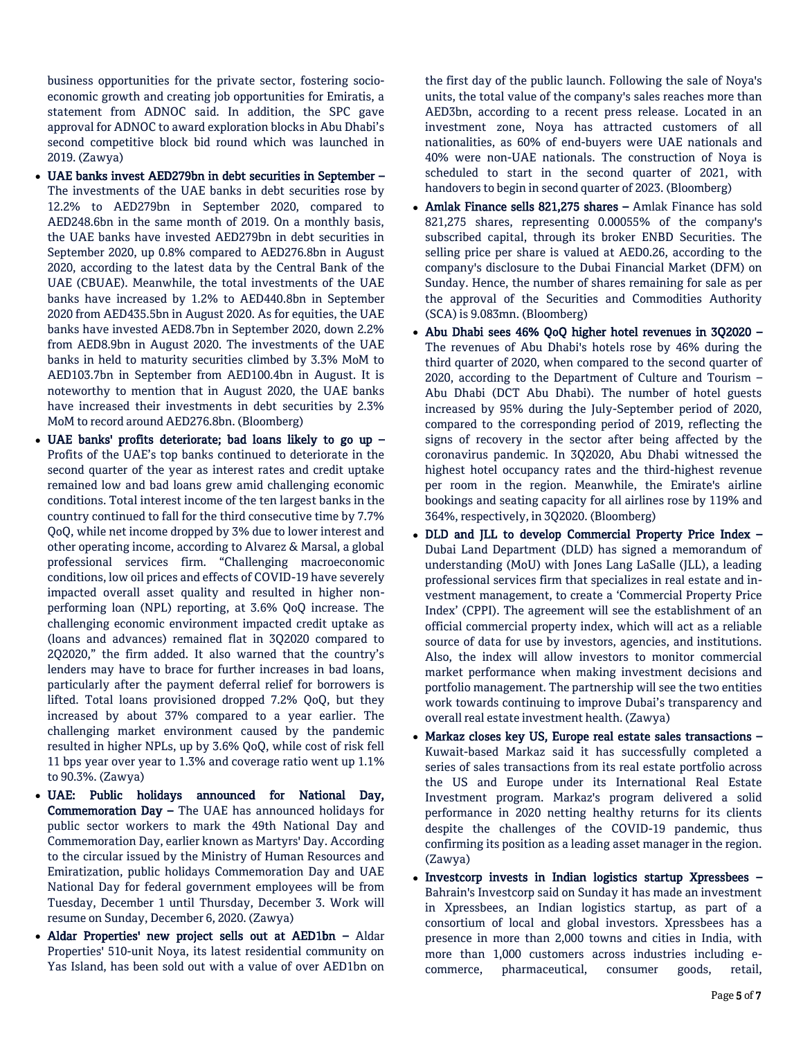business opportunities for the private sector, fostering socioeconomic growth and creating job opportunities for Emiratis, a statement from ADNOC said. In addition, the SPC gave approval for ADNOC to award exploration blocks in Abu Dhabi's second competitive block bid round which was launched in 2019. (Zawya)

- UAE banks invest AED279bn in debt securities in September The investments of the UAE banks in debt securities rose by 12.2% to AED279bn in September 2020, compared to AED248.6bn in the same month of 2019. On a monthly basis, the UAE banks have invested AED279bn in debt securities in September 2020, up 0.8% compared to AED276.8bn in August 2020, according to the latest data by the Central Bank of the UAE (CBUAE). Meanwhile, the total investments of the UAE banks have increased by 1.2% to AED440.8bn in September 2020 from AED435.5bn in August 2020. As for equities, the UAE banks have invested AED8.7bn in September 2020, down 2.2% from AED8.9bn in August 2020. The investments of the UAE banks in held to maturity securities climbed by 3.3% MoM to AED103.7bn in September from AED100.4bn in August. It is noteworthy to mention that in August 2020, the UAE banks have increased their investments in debt securities by 2.3% MoM to record around AED276.8bn. (Bloomberg)
- UAE banks' profits deteriorate; bad loans likely to go up Profits of the UAE's top banks continued to deteriorate in the second quarter of the year as interest rates and credit uptake remained low and bad loans grew amid challenging economic conditions. Total interest income of the ten largest banks in the country continued to fall for the third consecutive time by 7.7% QoQ, while net income dropped by 3% due to lower interest and other operating income, according to Alvarez & Marsal, a global professional services firm. "Challenging macroeconomic conditions, low oil prices and effects of COVID-19 have severely impacted overall asset quality and resulted in higher nonperforming loan (NPL) reporting, at 3.6% QoQ increase. The challenging economic environment impacted credit uptake as (loans and advances) remained flat in 3Q2020 compared to 2Q2020," the firm added. It also warned that the country's lenders may have to brace for further increases in bad loans, particularly after the payment deferral relief for borrowers is lifted. Total loans provisioned dropped 7.2% QoQ, but they increased by about 37% compared to a year earlier. The challenging market environment caused by the pandemic resulted in higher NPLs, up by 3.6% QoQ, while cost of risk fell 11 bps year over year to 1.3% and coverage ratio went up 1.1% to 90.3%. (Zawya)
- UAE: Public holidays announced for National Day, Commemoration Day – The UAE has announced holidays for public sector workers to mark the 49th National Day and Commemoration Day, earlier known as Martyrs' Day. According to the circular issued by the Ministry of Human Resources and Emiratization, public holidays Commemoration Day and UAE National Day for federal government employees will be from Tuesday, December 1 until Thursday, December 3. Work will resume on Sunday, December 6, 2020. (Zawya)
- Aldar Properties' new project sells out at AED1bn Aldar Properties' 510-unit Noya, its latest residential community on Yas Island, has been sold out with a value of over AED1bn on

the first day of the public launch. Following the sale of Noya's units, the total value of the company's sales reaches more than AED3bn, according to a recent press release. Located in an investment zone, Noya has attracted customers of all nationalities, as 60% of end-buyers were UAE nationals and 40% were non-UAE nationals. The construction of Noya is scheduled to start in the second quarter of 2021, with handovers to begin in second quarter of 2023. (Bloomberg)

- Amlak Finance sells 821,275 shares Amlak Finance has sold 821,275 shares, representing 0.00055% of the company's subscribed capital, through its broker ENBD Securities. The selling price per share is valued at AED0.26, according to the company's disclosure to the Dubai Financial Market (DFM) on Sunday. Hence, the number of shares remaining for sale as per the approval of the Securities and Commodities Authority (SCA) is 9.083mn. (Bloomberg)
- Abu Dhabi sees 46% QoQ higher hotel revenues in 3Q2020 The revenues of Abu Dhabi's hotels rose by 46% during the third quarter of 2020, when compared to the second quarter of 2020, according to the Department of Culture and Tourism – Abu Dhabi (DCT Abu Dhabi). The number of hotel guests increased by 95% during the July-September period of 2020, compared to the corresponding period of 2019, reflecting the signs of recovery in the sector after being affected by the coronavirus pandemic. In 3Q2020, Abu Dhabi witnessed the highest hotel occupancy rates and the third-highest revenue per room in the region. Meanwhile, the Emirate's airline bookings and seating capacity for all airlines rose by 119% and 364%, respectively, in 3Q2020. (Bloomberg)
- DLD and JLL to develop Commercial Property Price Index Dubai Land Department (DLD) has signed a memorandum of understanding (MoU) with Jones Lang LaSalle (JLL), a leading professional services firm that specializes in real estate and investment management, to create a 'Commercial Property Price Index' (CPPI). The agreement will see the establishment of an official commercial property index, which will act as a reliable source of data for use by investors, agencies, and institutions. Also, the index will allow investors to monitor commercial market performance when making investment decisions and portfolio management. The partnership will see the two entities work towards continuing to improve Dubai's transparency and overall real estate investment health. (Zawya)
- Markaz closes key US, Europe real estate sales transactions Kuwait-based Markaz said it has successfully completed a series of sales transactions from its real estate portfolio across the US and Europe under its International Real Estate Investment program. Markaz's program delivered a solid performance in 2020 netting healthy returns for its clients despite the challenges of the COVID-19 pandemic, thus confirming its position as a leading asset manager in the region. (Zawya)
- Investcorp invests in Indian logistics startup Xpressbees Bahrain's Investcorp said on Sunday it has made an investment in Xpressbees, an Indian logistics startup, as part of a consortium of local and global investors. Xpressbees has a presence in more than 2,000 towns and cities in India, with more than 1,000 customers across industries including ecommerce, pharmaceutical, consumer goods, retail,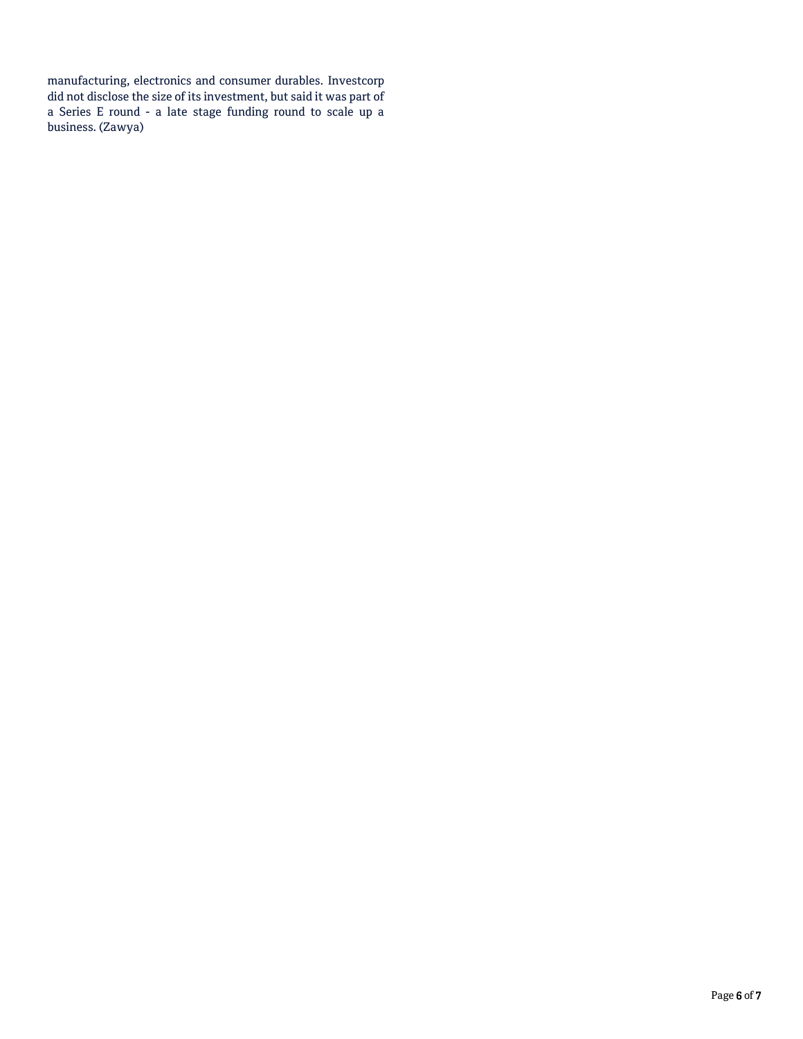manufacturing, electronics and consumer durables. Investcorp did not disclose the size of its investment, but said it was part of a Series E round - a late stage funding round to scale up a business. (Zawya)